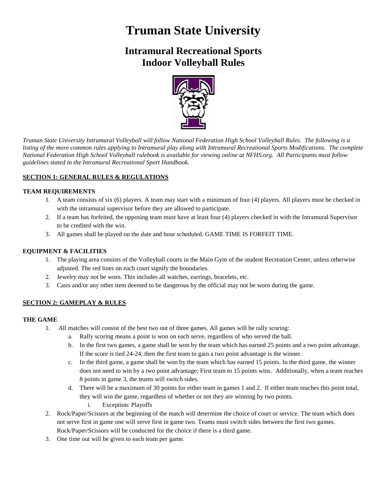# **Truman State University**

# **Intramural Recreational Sports Indoor Volleyball Rules**



*Truman State University Intramural Volleyball will follow National Federation High School Volleyball Rules. The following is a listing of the more common rules applying to Intramural play along with Intramural Recreational Sports Modifications. The complete National Federation High School Volleyball rulebook is available for viewing online at NFHS.org. All Participants must follow guidelines stated in the Intramural Recreational Sport Handbook.*

# **SECTION 1: GENERAL RULES & REGULATIONS**

# **TEAM REQUIREMENTS**

- 1. A team consists of six (6) players. A team may start with a minimum of four (4) players. All players must be checked in with the intramural supervisor before they are allowed to participate.
- 2. If a team has forfeited, the opposing team must have at least four (4) players checked in with the Intramural Supervisor to be credited with the win.
- 3. All games shall be played on the date and hour scheduled. GAME TIME IS FORFEIT TIME.

# **EQUIPMENT & FACILITIES**

- 1. The playing area consists of the Volleyball courts in the Main Gym of the student Recreation Center, unless otherwise adjusted. The red lines on each court signify the boundaries.
- 2. Jewelry may not be worn. This includes all watches, earrings, bracelets, etc.
- 3. Casts and/or any other item deemed to be dangerous by the official may not be worn during the game.

# **SECTION 2: GAMEPLAY & RULES**

#### **THE GAME**

- 1. All matches will consist of the best two out of three games. All games will be rally scoring:
	- a. Rally scoring means a point is won on each serve, regardless of who served the ball.
	- b. In the first two games, a game shall be won by the team which has earned 25 points and a two point advantage. If the score is tied 24-24, then the first team to gain a two point advantage is the winner.
	- c. In the third game, a game shall be won by the team which has earned 15 points. In the third game, the winner does not need to win by a two point advantage; First team to 15 points wins. Additionally, when a team reaches 8 points in game 3, the teams will switch sides.
	- d. There will be a maximum of 30 points for either team in games 1 and 2. If either team reaches this point total, they will win the game, regardless of whether or not they are winning by two points.
		- i. Exception: Playoffs
- 2. Rock/Paper/Scissors at the beginning of the match will determine the choice of court or service. The team which does not serve first in game one will serve first in game two. Teams must switch sides between the first two games. Rock/Paper/Scissors will be conducted for the choice if there is a third game.
- 3. One time out will be given to each team per game.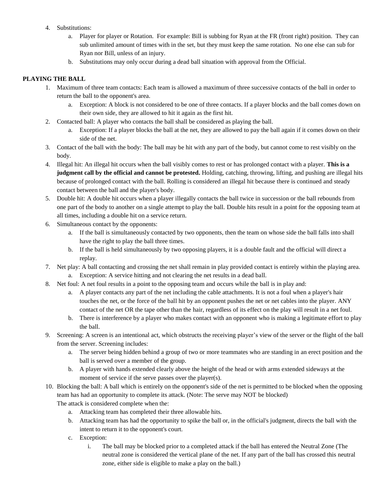- 4. Substitutions:
	- a. Player for player or Rotation. For example: Bill is subbing for Ryan at the FR (front right) position. They can sub unlimited amount of times with in the set, but they must keep the same rotation. No one else can sub for Ryan nor Bill, unless of an injury.
	- b. Substitutions may only occur during a dead ball situation with approval from the Official.

# **PLAYING THE BALL**

- 1. Maximum of three team contacts: Each team is allowed a maximum of three successive contacts of the ball in order to return the ball to the opponent's area.
	- a. Exception: A block is not considered to be one of three contacts. If a player blocks and the ball comes down on their own side, they are allowed to hit it again as the first hit.
- 2. Contacted ball: A player who contacts the ball shall be considered as playing the ball.
	- a. Exception: If a player blocks the ball at the net, they are allowed to pay the ball again if it comes down on their side of the net.
- 3. Contact of the ball with the body: The ball may be hit with any part of the body, but cannot come to rest visibly on the body.
- 4. Illegal hit: An illegal hit occurs when the ball visibly comes to rest or has prolonged contact with a player. **This is a judgment call by the official and cannot be protested.** Holding, catching, throwing, lifting, and pushing are illegal hits because of prolonged contact with the ball. Rolling is considered an illegal hit because there is continued and steady contact between the ball and the player's body.
- 5. Double hit: A double hit occurs when a player illegally contacts the ball twice in succession or the ball rebounds from one part of the body to another on a single attempt to play the ball. Double hits result in a point for the opposing team at all times, including a double hit on a service return.
- 6. Simultaneous contact by the opponents:
	- a. If the ball is simultaneously contacted by two opponents, then the team on whose side the ball falls into shall have the right to play the ball three times.
	- b. If the ball is held simultaneously by two opposing players, it is a double fault and the official will direct a replay.
- 7. Net play: A ball contacting and crossing the net shall remain in play provided contact is entirely within the playing area.
	- a. Exception: A service hitting and not clearing the net results in a dead ball.
- 8. Net foul: A net foul results in a point to the opposing team and occurs while the ball is in play and:
	- a. A player contacts any part of the net including the cable attachments. It is not a foul when a player's hair touches the net, or the force of the ball hit by an opponent pushes the net or net cables into the player. ANY contact of the net OR the tape other than the hair, regardless of its effect on the play will result in a net foul.
	- b. There is interference by a player who makes contact with an opponent who is making a legitimate effort to play the ball.
- 9. Screening: A screen is an intentional act, which obstructs the receiving player's view of the server or the flight of the ball from the server. Screening includes:
	- a. The server being hidden behind a group of two or more teammates who are standing in an erect position and the ball is served over a member of the group.
	- b. A player with hands extended clearly above the height of the head or with arms extended sideways at the moment of service if the serve passes over the player(s).
- 10. Blocking the ball: A ball which is entirely on the opponent's side of the net is permitted to be blocked when the opposing team has had an opportunity to complete its attack. (Note: The serve may NOT be blocked) The attack is considered complete when the:
	- a. Attacking team has completed their three allowable hits.
	- b. Attacking team has had the opportunity to spike the ball or, in the official's judgment, directs the ball with the intent to return it to the opponent's court.
	- c. Exception:
		- i. The ball may be blocked prior to a completed attack if the ball has entered the Neutral Zone (The neutral zone is considered the vertical plane of the net. If any part of the ball has crossed this neutral zone, either side is eligible to make a play on the ball.)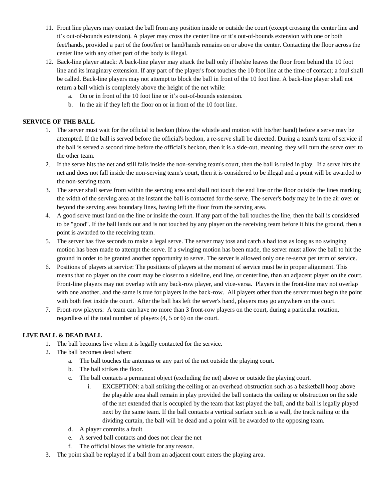- 11. Front line players may contact the ball from any position inside or outside the court (except crossing the center line and it's out-of-bounds extension). A player may cross the center line or it's out-of-bounds extension with one or both feet/hands, provided a part of the foot/feet or hand/hands remains on or above the center. Contacting the floor across the center line with any other part of the body is illegal.
- 12. Back-line player attack: A back-line player may attack the ball only if he/she leaves the floor from behind the 10 foot line and its imaginary extension. If any part of the player's foot touches the 10 foot line at the time of contact; a foul shall be called. Back-line players may not attempt to block the ball in front of the 10 foot line. A back-line player shall not return a ball which is completely above the height of the net while:
	- a. On or in front of the 10 foot line or it's out-of-bounds extension.
	- b. In the air if they left the floor on or in front of the 10 foot line.

#### **SERVICE OF THE BALL**

- 1. The server must wait for the official to beckon (blow the whistle and motion with his/her hand) before a serve may be attempted. If the ball is served before the official's beckon, a re-serve shall be directed. During a team's term of service if the ball is served a second time before the official's beckon, then it is a side-out, meaning, they will turn the serve over to the other team.
- 2. If the serve hits the net and still falls inside the non-serving team's court, then the ball is ruled in play. If a serve hits the net and does not fall inside the non-serving team's court, then it is considered to be illegal and a point will be awarded to the non-serving team.
- 3. The server shall serve from within the serving area and shall not touch the end line or the floor outside the lines marking the width of the serving area at the instant the ball is contacted for the serve. The server's body may be in the air over or beyond the serving area boundary lines, having left the floor from the serving area.
- 4. A good serve must land on the line or inside the court. If any part of the ball touches the line, then the ball is considered to be "good". If the ball lands out and is not touched by any player on the receiving team before it hits the ground, then a point is awarded to the receiving team.
- 5. The server has five seconds to make a legal serve. The server may toss and catch a bad toss as long as no swinging motion has been made to attempt the serve. If a swinging motion has been made, the server must allow the ball to hit the ground in order to be granted another opportunity to serve. The server is allowed only one re-serve per term of service.
- 6. Positions of players at service: The positions of players at the moment of service must be in proper alignment. This means that no player on the court may be closer to a sideline, end line, or centerline, than an adjacent player on the court. Front-line players may not overlap with any back-row player, and vice-versa. Players in the front-line may not overlap with one another, and the same is true for players in the back-row. All players other than the server must begin the point with both feet inside the court. After the ball has left the server's hand, players may go anywhere on the court.
- 7. Front-row players: A team can have no more than 3 front-row players on the court, during a particular rotation, regardless of the total number of players (4, 5 or 6) on the court.

# **LIVE BALL & DEAD BALL**

- 1. The ball becomes live when it is legally contacted for the service.
- 2. The ball becomes dead when:
	- a. The ball touches the antennas or any part of the net outside the playing court.
	- b. The ball strikes the floor.
	- c. The ball contacts a permanent object (excluding the net) above or outside the playing court.
		- i. EXCEPTION: a ball striking the ceiling or an overhead obstruction such as a basketball hoop above the playable area shall remain in play provided the ball contacts the ceiling or obstruction on the side of the net extended that is occupied by the team that last played the ball, and the ball is legally played next by the same team. If the ball contacts a vertical surface such as a wall, the track railing or the dividing curtain, the ball will be dead and a point will be awarded to the opposing team.
	- d. A player commits a fault
	- e. A served ball contacts and does not clear the net
	- f. The official blows the whistle for any reason.
- 3. The point shall be replayed if a ball from an adjacent court enters the playing area.